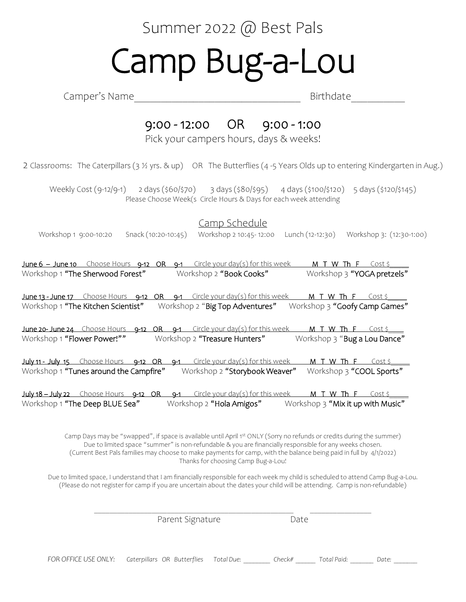## Summer 2022 @ Best Pals Camp Bug-a-Lou

Camper's Name **Example 2** and the Birthdate **Birthdate** 

## 9:00 - 12:00 OR 9:00 - 1:00

Pick your campers hours, days & weeks!

2 Classrooms: The Caterpillars (3 ½ yrs. & up) OR The Butterflies (4 -5 Years Olds up to entering Kindergarten in Aug.)

Weekly Cost (9-12/9-1) 2 days (\$60/\$70) 3 days (\$80/\$95) 4 days (\$100/\$120) 5 days (\$120/\$145) Please Choose Week(s Circle Hours & Days for each week attending

Camp Schedule

Workshop 1 9:00-10:20 Snack (10:20-10:45) Workshop 2 10:45- 12:00 Lunch (12-12:30) Workshop 3: (12:30-1:00)

June 6 – June 10 Choose Hours 9-12 OR 9-1 Circle your day(s) for this week M T W Th F Cost \$<br>Workshop 1 "The Sherwood Forest" Workshop 2 "Book Cooks" Workshop 3 "YOGA pretzels" Workshop 1 "The Sherwood Forest" Workshop 2 "Book Cooks" June 13 - June 17 Choose Hours 9-12 OR 9-1 Circle your day(s) for this week M T W Th F Cost \$<br>Workshop 1 **"The Kitchen Scientist"** Workshop 2 "**Big Top Adventures"** Workshop 3 **"Goofy Camp Games"** Workshop 1 "The Kitchen Scientist" Workshop 2 "Big Top Adventures"

June 20- June 24 Choose Hours 9-12 OR 9-1 Circle your day(s) for this week M T W Th F Cost \$<br>Workshop 1 "Flower Power!"" Workshop 2 "Treasure Hunters" Workshop 3 "Bug a Lou Dance" Workshop 2 "Treasure Hunters"

July 11 - July 15 Choose Hours 9-12 OR 9-1 Circle your day(s) for this week  $M$  T W Th F Cost  $\frac{1}{2}$ Workshop 1 "Tunes around the Campfire" Workshop 2 "Storybook Weaver" Workshop 3 "COOL Sports"

July 18 – July 22 Choose Hours 9-12 OR 9-1 Circle your day(s) for this week M T W Th F Cost \$ Workshop 1 "The Deep BLUE Sea" Workshop 2 "Hola Amigos" Workshop 3 "Mix it up with Music"

> Camp Days may be "swapped", if space is available until April 1st ONLY (Sorry no refunds or credits during the summer) Due to limited space "summer" is non-refundable & you are financially responsible for any weeks chosen. (Current Best Pals families may choose to make payments for camp, with the balance being paid in full by 4/1/2022) Thanks for choosing Camp Bug-a-Lou!

Due to limited space, I understand that I am financially responsible for each week my child is scheduled to attend Camp Bug-a-Lou. (Please do not register for camp if you are uncertain about the dates your child will be attending. Camp is non-refundable)

 $\mathcal{L}_\mathcal{L} = \mathcal{L}_\mathcal{L} = \mathcal{L}_\mathcal{L} = \mathcal{L}_\mathcal{L} = \mathcal{L}_\mathcal{L} = \mathcal{L}_\mathcal{L} = \mathcal{L}_\mathcal{L} = \mathcal{L}_\mathcal{L} = \mathcal{L}_\mathcal{L} = \mathcal{L}_\mathcal{L} = \mathcal{L}_\mathcal{L} = \mathcal{L}_\mathcal{L} = \mathcal{L}_\mathcal{L} = \mathcal{L}_\mathcal{L} = \mathcal{L}_\mathcal{L} = \mathcal{L}_\mathcal{L} = \mathcal{L}_\mathcal{L}$ Parent Signature Date *FOR OFFICE USE ONLY: Caterpillars OR Butterflies Total Due: \_\_\_\_\_\_\_\_ Check# \_\_\_\_\_\_ Total Paid: \_\_\_\_\_\_\_ Date: \_\_\_\_\_\_\_*